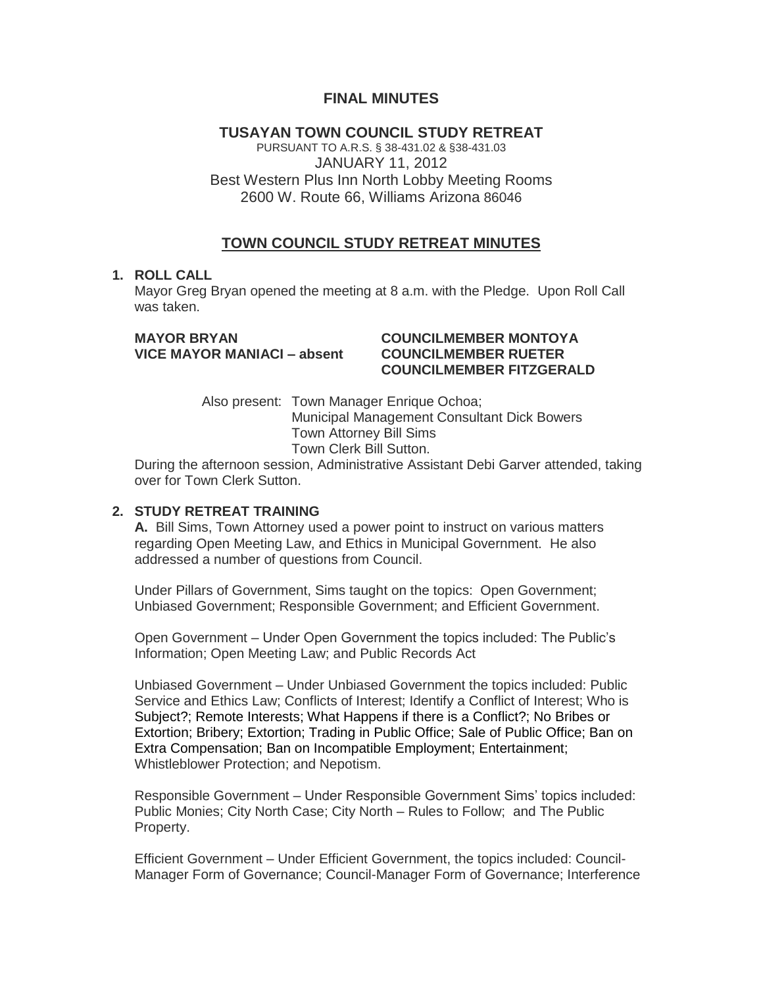# **FINAL MINUTES**

# **TUSAYAN TOWN COUNCIL STUDY RETREAT**

PURSUANT TO A.R.S. § 38-431.02 & §38-431.03 JANUARY 11, 2012 Best Western Plus Inn North Lobby Meeting Rooms 2600 W. Route 66, Williams Arizona 86046

### **TOWN COUNCIL STUDY RETREAT MINUTES**

### **1. ROLL CALL**

Mayor Greg Bryan opened the meeting at 8 a.m. with the Pledge. Upon Roll Call was taken.

## **MAYOR BRYAN COUNCILMEMBER MONTOYA VICE MAYOR MANIACI – absent COUNCILMEMBER RUETER**

# **COUNCILMEMBER FITZGERALD**

Also present: Town Manager Enrique Ochoa; Municipal Management Consultant Dick Bowers Town Attorney Bill Sims Town Clerk Bill Sutton.

During the afternoon session, Administrative Assistant Debi Garver attended, taking over for Town Clerk Sutton.

#### **2. STUDY RETREAT TRAINING**

**A.** Bill Sims, Town Attorney used a power point to instruct on various matters regarding Open Meeting Law, and Ethics in Municipal Government. He also addressed a number of questions from Council.

Under Pillars of Government, Sims taught on the topics: Open Government; Unbiased Government; Responsible Government; and Efficient Government.

Open Government – Under Open Government the topics included: The Public's Information; Open Meeting Law; and Public Records Act

Unbiased Government – Under Unbiased Government the topics included: Public Service and Ethics Law; Conflicts of Interest; Identify a Conflict of Interest; Who is Subject?; Remote Interests; What Happens if there is a Conflict?; No Bribes or Extortion; Bribery; Extortion; Trading in Public Office; Sale of Public Office; Ban on Extra Compensation; Ban on Incompatible Employment; Entertainment; Whistleblower Protection; and Nepotism.

Responsible Government – Under Responsible Government Sims' topics included: Public Monies; City North Case; City North – Rules to Follow; and The Public Property.

Efficient Government – Under Efficient Government, the topics included: Council-Manager Form of Governance; Council-Manager Form of Governance; Interference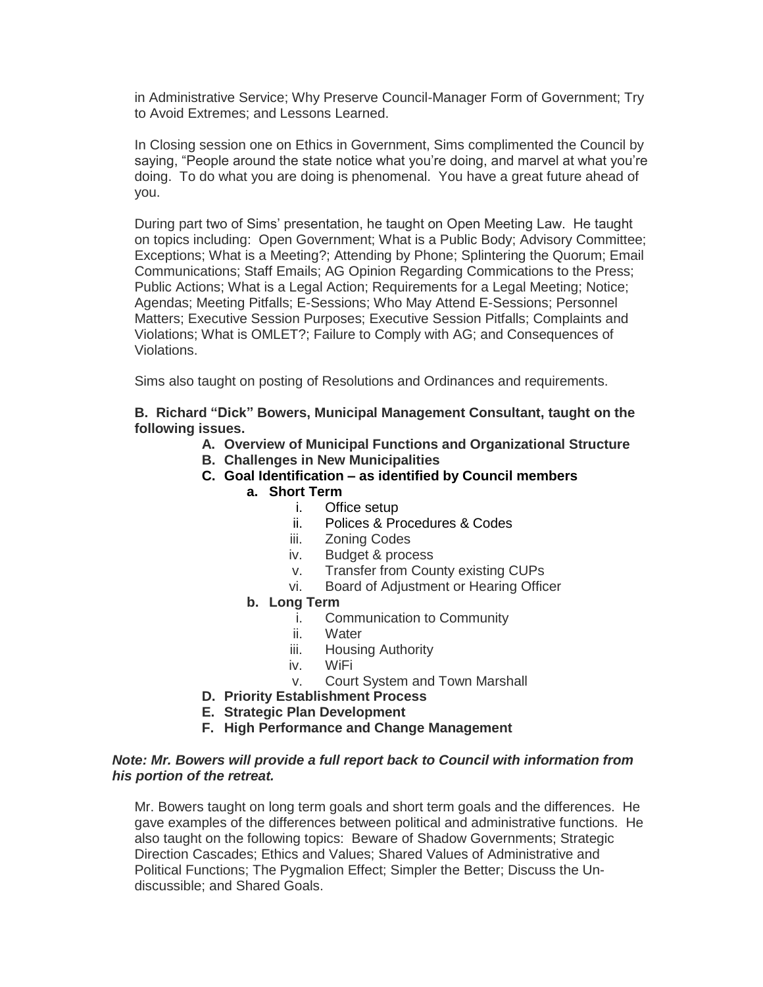in Administrative Service; Why Preserve Council-Manager Form of Government; Try to Avoid Extremes; and Lessons Learned.

In Closing session one on Ethics in Government, Sims complimented the Council by saying, "People around the state notice what you're doing, and marvel at what you're doing. To do what you are doing is phenomenal. You have a great future ahead of you.

During part two of Sims' presentation, he taught on Open Meeting Law. He taught on topics including: Open Government; What is a Public Body; Advisory Committee; Exceptions; What is a Meeting?; Attending by Phone; Splintering the Quorum; Email Communications; Staff Emails; AG Opinion Regarding Commications to the Press; Public Actions; What is a Legal Action; Requirements for a Legal Meeting; Notice; Agendas; Meeting Pitfalls; E-Sessions; Who May Attend E-Sessions; Personnel Matters; Executive Session Purposes; Executive Session Pitfalls; Complaints and Violations; What is OMLET?; Failure to Comply with AG; and Consequences of Violations.

Sims also taught on posting of Resolutions and Ordinances and requirements.

**B. Richard "Dick" Bowers, Municipal Management Consultant, taught on the following issues.** 

- **A. Overview of Municipal Functions and Organizational Structure**
- **B. Challenges in New Municipalities**
- **C. Goal Identification – as identified by Council members**
	- **a. Short Term**
		- i. Office setup
		- ii. Polices & Procedures & Codes
		- iii. Zoning Codes
		- iv. Budget & process
		- v. Transfer from County existing CUPs
		- vi. Board of Adjustment or Hearing Officer
	- **b. Long Term**
		- i. Communication to Community
		- ii. Water
		- iii. Housing Authority
		- iv. WiFi
		- v. Court System and Town Marshall
- **D. Priority Establishment Process**
- **E. Strategic Plan Development**
- **F. High Performance and Change Management**

### *Note: Mr. Bowers will provide a full report back to Council with information from his portion of the retreat.*

Mr. Bowers taught on long term goals and short term goals and the differences. He gave examples of the differences between political and administrative functions. He also taught on the following topics: Beware of Shadow Governments; Strategic Direction Cascades; Ethics and Values; Shared Values of Administrative and Political Functions; The Pygmalion Effect; Simpler the Better; Discuss the Undiscussible; and Shared Goals.